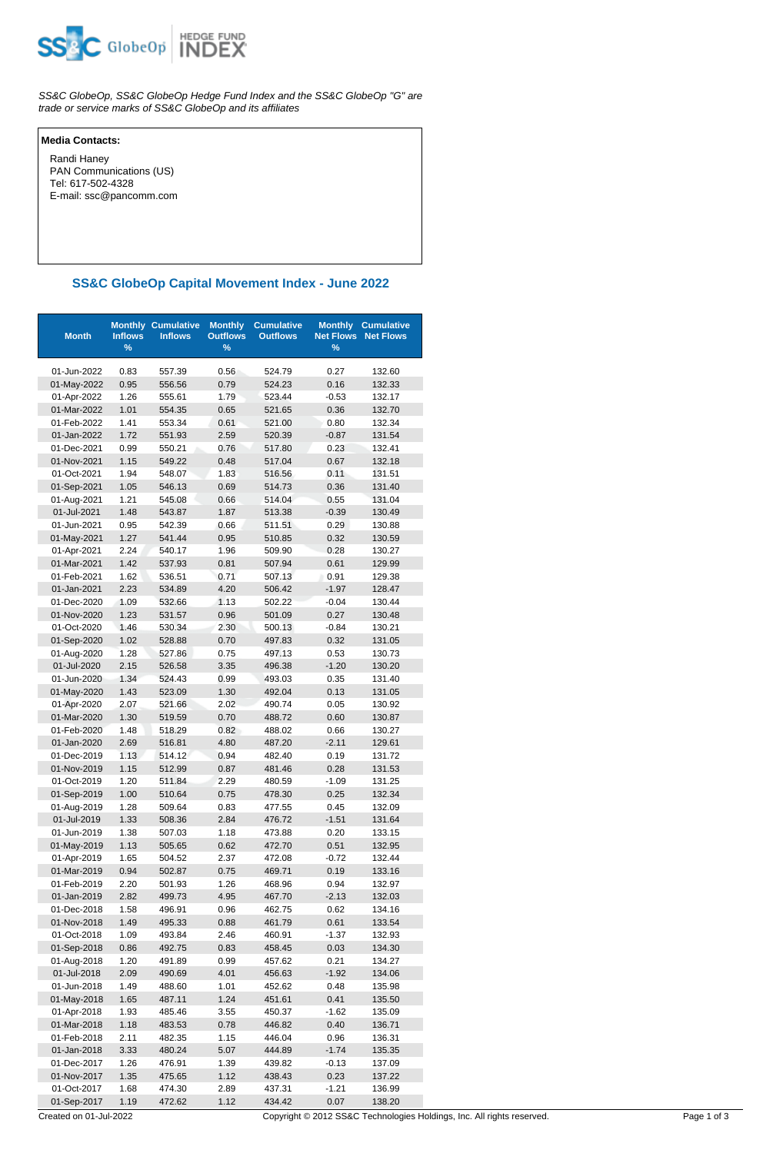

SS&C GlobeOp, SS&C GlobeOp Hedge Fund Index and the SS&C GlobeOp "G" are trade or service marks of SS&C GlobeOp and its affiliates

## **Media Contacts:**

 Randi Haney PAN Communications (US) Tel: 617-502-4328 E-mail: ssc@pancomm.com

## **SS&C GlobeOp Capital Movement Index - June 2022**

| <b>Month</b>               | <b>Inflows</b><br>% | <b>Monthly Cumulative</b><br><b>Inflows</b> | <b>Monthly</b><br><b>Outflows</b><br>$\%$ | <b>Cumulative</b><br><b>Outflows</b> | <b>Monthly</b><br><b>Net Flows</b><br>$\%$ | <b>Cumulative</b><br><b>Net Flows</b> |
|----------------------------|---------------------|---------------------------------------------|-------------------------------------------|--------------------------------------|--------------------------------------------|---------------------------------------|
| 01-Jun-2022                | 0.83                | 557.39                                      | 0.56                                      | 524.79                               | 0.27                                       | 132.60                                |
| 01-May-2022                | 0.95                | 556.56                                      | 0.79                                      | 524.23                               | 0.16                                       | 132.33                                |
| 01-Apr-2022                | 1.26                | 555.61                                      | 1.79                                      | 523.44                               | $-0.53$                                    | 132.17                                |
| 01-Mar-2022                | 1.01                | 554.35                                      | 0.65                                      | 521.65                               | 0.36                                       | 132.70                                |
| 01-Feb-2022                | 1.41                | 553.34                                      | 0.61                                      | 521.00                               | 0.80                                       | 132.34                                |
| 01-Jan-2022                | 1.72                | 551.93                                      | 2.59                                      | 520.39                               | $-0.87$                                    | 131.54                                |
| 01-Dec-2021                | 0.99                | 550.21                                      | 0.76                                      | 517.80                               | 0.23                                       | 132.41                                |
| 01-Nov-2021                | 1.15                | 549.22                                      | 0.48                                      | 517.04                               | 0.67                                       | 132.18                                |
| 01-Oct-2021                | 1.94                | 548.07                                      | 1.83                                      | 516.56                               | 0.11                                       | 131.51                                |
| 01-Sep-2021                | 1.05                | 546.13                                      | 0.69                                      | 514.73                               | 0.36                                       | 131.40                                |
| 01-Aug-2021                | 1.21                | 545.08                                      | 0.66                                      | 514.04                               | 0.55                                       | 131.04                                |
| 01-Jul-2021                | 1.48                | 543.87                                      | 1.87                                      | 513.38                               | $-0.39$                                    | 130.49                                |
| 01-Jun-2021                | 0.95                | 542.39                                      | 0.66                                      | 511.51                               | 0.29                                       | 130.88                                |
| 01-May-2021                | 1.27                | 541.44                                      | 0.95                                      | 510.85                               | 0.32                                       | 130.59                                |
| 01-Apr-2021                | 2.24                | 540.17                                      | 1.96                                      | 509.90                               | 0.28                                       | 130.27                                |
| 01-Mar-2021                | 1.42                | 537.93                                      | 0.81                                      | 507.94                               | 0.61                                       | 129.99                                |
| 01-Feb-2021                | 1.62                | 536.51                                      | 0.71                                      | 507.13                               | 0.91                                       | 129.38                                |
| 01-Jan-2021                | 2.23                | 534.89                                      | 4.20                                      | 506.42                               | $-1.97$                                    | 128.47                                |
| 01-Dec-2020                | 1.09                | 532.66                                      | 1.13                                      | 502.22                               | $-0.04$                                    | 130.44                                |
| 01-Nov-2020                | 1.23                | 531.57                                      | 0.96                                      | 501.09                               | 0.27                                       | 130.48                                |
| 01-Oct-2020                | 1.46                | 530.34                                      | 2.30                                      | 500.13                               | $-0.84$                                    | 130.21                                |
| 01-Sep-2020                | 1.02                | 528.88                                      | 0.70                                      | 497.83                               | 0.32                                       | 131.05                                |
| 01-Aug-2020                | 1.28                | 527.86                                      | 0.75                                      | 497.13                               | 0.53                                       | 130.73                                |
| 01-Jul-2020                | 2.15                | 526.58                                      | 3.35                                      | 496.38                               | $-1.20$                                    | 130.20                                |
| 01-Jun-2020                | 1.34                | 524.43                                      | 0.99                                      | 493.03                               | 0.35                                       | 131.40                                |
| 01-May-2020                | 1.43<br>2.07        | 523.09                                      | 1.30                                      | 492.04                               | 0.13                                       | 131.05                                |
| 01-Apr-2020<br>01-Mar-2020 | 1.30                | 521.66<br>519.59                            | 2.02<br>0.70                              | 490.74<br>488.72                     | 0.05<br>0.60                               | 130.92<br>130.87                      |
| 01-Feb-2020                | 1.48                | 518.29                                      | 0.82                                      | 488.02                               | 0.66                                       | 130.27                                |
| 01-Jan-2020                | 2.69                | 516.81                                      | 4.80                                      | 487.20                               | $-2.11$                                    | 129.61                                |
| 01-Dec-2019                | 1.13                | 514.12                                      | 0.94                                      | 482.40                               | 0.19                                       | 131.72                                |
| 01-Nov-2019                | 1.15                | 512.99                                      | 0.87                                      | 481.46                               | 0.28                                       | 131.53                                |
| 01-Oct-2019                | 1.20                | 511.84                                      | 2.29                                      | 480.59                               | $-1.09$                                    | 131.25                                |
| 01-Sep-2019                | 1.00                | 510.64                                      | 0.75                                      | 478.30                               | 0.25                                       | 132.34                                |
| 01-Aug-2019                | 1.28                | 509.64                                      | 0.83                                      | 477.55                               | 0.45                                       | 132.09                                |
| 01-Jul-2019                | 1.33                | 508.36                                      | 2.84                                      | 476.72                               | $-1.51$                                    | 131.64                                |
| 01-Jun-2019                | 1.38                | 507.03                                      | 1.18                                      | 473.88                               | 0.20                                       | 133.15                                |
| 01-May-2019                | 1.13                | 505.65                                      | 0.62                                      | 472.70                               | 0.51                                       | 132.95                                |
| 01-Apr-2019                | 1.65                | 504.52                                      | 2.37                                      | 472.08                               | $-0.72$                                    | 132.44                                |
| 01-Mar-2019                | 0.94                | 502.87                                      | 0.75                                      | 469.71                               | 0.19                                       | 133.16                                |
| 01-Feb-2019                | 2.20                | 501.93                                      | 1.26                                      | 468.96                               | 0.94                                       | 132.97                                |
| 01-Jan-2019                | 2.82                | 499.73                                      | 4.95                                      | 467.70                               | $-2.13$                                    | 132.03                                |
| 01-Dec-2018                | 1.58                | 496.91                                      | 0.96                                      | 462.75                               | 0.62                                       | 134.16                                |
| 01-Nov-2018                | 1.49                | 495.33                                      | 0.88                                      | 461.79                               | 0.61                                       | 133.54                                |
| 01-Oct-2018                | 1.09                | 493.84                                      | 2.46                                      | 460.91                               | $-1.37$                                    | 132.93                                |
| 01-Sep-2018                | 0.86                | 492.75                                      | 0.83                                      | 458.45                               | 0.03                                       | 134.30                                |
| 01-Aug-2018                | 1.20                | 491.89                                      | 0.99                                      | 457.62                               | 0.21                                       | 134.27                                |
| 01-Jul-2018                | 2.09                | 490.69                                      | 4.01                                      | 456.63                               | $-1.92$                                    | 134.06                                |
| 01-Jun-2018                | 1.49                | 488.60                                      | 1.01                                      | 452.62                               | 0.48                                       | 135.98                                |
| 01-May-2018                | 1.65                | 487.11                                      | 1.24                                      | 451.61                               | 0.41                                       | 135.50                                |
| 01-Apr-2018                | 1.93                | 485.46                                      | 3.55                                      | 450.37                               | $-1.62$                                    | 135.09                                |
| 01-Mar-2018                | 1.18                | 483.53                                      | 0.78                                      | 446.82                               | 0.40                                       | 136.71                                |
| 01-Feb-2018                | 2.11                | 482.35                                      | 1.15                                      | 446.04                               | 0.96                                       | 136.31                                |
| 01-Jan-2018                | 3.33                | 480.24                                      | 5.07                                      | 444.89                               | $-1.74$                                    | 135.35                                |
| 01-Dec-2017                | 1.26                | 476.91                                      | 1.39                                      | 439.82                               | $-0.13$                                    | 137.09                                |
| 01-Nov-2017                | 1.35                | 475.65                                      | 1.12                                      | 438.43                               | 0.23                                       | 137.22                                |
| 01-Oct-2017                | 1.68                | 474.30                                      | 2.89                                      | 437.31                               | $-1.21$                                    | 136.99                                |
| 01-Sep-2017                | 1.19                | 472.62                                      | 1.12                                      | 434.42                               | 0.07                                       | 138.20                                |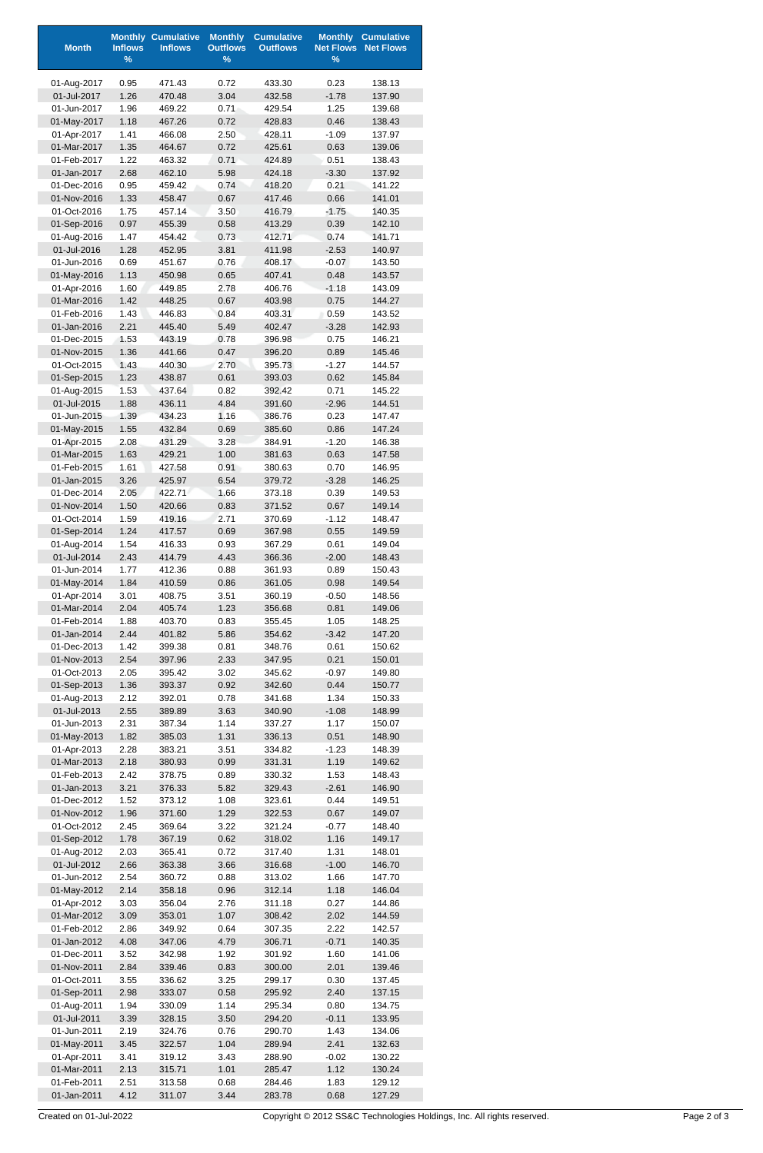| <b>Month</b>               | <b>Inflows</b> | <b>Monthly Cumulative</b><br><b>Inflows</b> | <b>Monthly</b><br><b>Outflows</b> | <b>Cumulative</b><br><b>Outflows</b> | <b>Monthly</b><br><b>Net Flows</b> | <b>Cumulative</b><br><b>Net Flows</b> |
|----------------------------|----------------|---------------------------------------------|-----------------------------------|--------------------------------------|------------------------------------|---------------------------------------|
|                            | $\%$           |                                             | $\%$                              |                                      | $\%$                               |                                       |
| 01-Aug-2017                | 0.95           | 471.43                                      | 0.72                              | 433.30                               | 0.23                               | 138.13                                |
| 01-Jul-2017                | 1.26           | 470.48                                      | 3.04                              | 432.58                               | $-1.78$                            | 137.90                                |
| 01-Jun-2017                | 1.96           | 469.22                                      | 0.71                              | 429.54                               | 1.25                               | 139.68                                |
| 01-May-2017                | 1.18           | 467.26                                      | 0.72                              | 428.83                               | 0.46                               | 138.43                                |
| 01-Apr-2017<br>01-Mar-2017 | 1.41<br>1.35   | 466.08<br>464.67                            | 2.50<br>0.72                      | 428.11<br>425.61                     | $-1.09$<br>0.63                    | 137.97<br>139.06                      |
| 01-Feb-2017                | 1.22           | 463.32                                      | 0.71                              | 424.89                               | 0.51                               | 138.43                                |
| 01-Jan-2017                | 2.68           | 462.10                                      | 5.98                              | 424.18                               | $-3.30$                            | 137.92                                |
| 01-Dec-2016                | 0.95           | 459.42                                      | 0.74                              | 418.20                               | 0.21                               | 141.22                                |
| 01-Nov-2016                | 1.33           | 458.47                                      | 0.67                              | 417.46                               | 0.66                               | 141.01                                |
| 01-Oct-2016                | 1.75           | 457.14                                      | 3.50                              | 416.79                               | $-1.75$                            | 140.35                                |
| 01-Sep-2016                | 0.97           | 455.39                                      | 0.58                              | 413.29                               | 0.39                               | 142.10                                |
| 01-Aug-2016<br>01-Jul-2016 | 1.47<br>1.28   | 454.42<br>452.95                            | 0.73<br>3.81                      | 412.71<br>411.98                     | 0.74<br>$-2.53$                    | 141.71<br>140.97                      |
| 01-Jun-2016                | 0.69           | 451.67                                      | 0.76                              | 408.17                               | $-0.07$                            | 143.50                                |
| 01-May-2016                | 1.13           | 450.98                                      | 0.65                              | 407.41                               | 0.48                               | 143.57                                |
| 01-Apr-2016                | 1.60           | 449.85                                      | 2.78                              | 406.76                               | $-1.18$                            | 143.09                                |
| 01-Mar-2016                | 1.42           | 448.25                                      | 0.67                              | 403.98                               | 0.75                               | 144.27                                |
| 01-Feb-2016                | 1.43           | 446.83                                      | 0.84                              | 403.31                               | 0.59                               | 143.52                                |
| 01-Jan-2016                | 2.21           | 445.40                                      | 5.49                              | 402.47                               | $-3.28$                            | 142.93                                |
| 01-Dec-2015<br>01-Nov-2015 | 1.53<br>1.36   | 443.19<br>441.66                            | 0.78<br>0.47                      | 396.98<br>396.20                     | 0.75<br>0.89                       | 146.21<br>145.46                      |
| 01-Oct-2015                | 1.43           | 440.30                                      | 2.70                              | 395.73                               | $-1.27$                            | 144.57                                |
| 01-Sep-2015                | 1.23           | 438.87                                      | 0.61                              | 393.03                               | 0.62                               | 145.84                                |
| 01-Aug-2015                | 1.53           | 437.64                                      | 0.82                              | 392.42                               | 0.71                               | 145.22                                |
| 01-Jul-2015                | 1.88           | 436.11                                      | 4.84                              | 391.60                               | $-2.96$                            | 144.51                                |
| 01-Jun-2015                | 1.39           | 434.23                                      | 1.16                              | 386.76                               | 0.23                               | 147.47                                |
| 01-May-2015<br>01-Apr-2015 | 1.55<br>2.08   | 432.84<br>431.29                            | 0.69<br>3.28                      | 385.60<br>384.91                     | 0.86<br>$-1.20$                    | 147.24<br>146.38                      |
| 01-Mar-2015                | 1.63           | 429.21                                      | 1.00                              | 381.63                               | 0.63                               | 147.58                                |
| 01-Feb-2015                | 1.61           | 427.58                                      | 0.91                              | 380.63                               | 0.70                               | 146.95                                |
| 01-Jan-2015                | 3.26           | 425.97                                      | 6.54                              | 379.72                               | $-3.28$                            | 146.25                                |
| 01-Dec-2014                | 2.05           | 422.71                                      | 1.66                              | 373.18                               | 0.39                               | 149.53                                |
| 01-Nov-2014                | 1.50           | 420.66                                      | 0.83                              | 371.52                               | 0.67                               | 149.14                                |
| 01-Oct-2014                | 1.59           | 419.16                                      | 2.71                              | 370.69                               | $-1.12$                            | 148.47                                |
| 01-Sep-2014<br>01-Aug-2014 | 1.24<br>1.54   | 417.57                                      | 0.69                              | 367.98                               | 0.55                               | 149.59<br>149.04                      |
| 01-Jul-2014                | 2.43           | 416.33<br>414.79                            | 0.93<br>4.43                      | 367.29<br>366.36                     | 0.61<br>$-2.00$                    | 148.43                                |
| 01-Jun-2014                | 1.77           | 412.36                                      | 0.88                              | 361.93                               | 0.89                               | 150.43                                |
| 01-May-2014                | 1.84           | 410.59                                      | 0.86                              | 361.05                               | 0.98                               | 149.54                                |
| 01-Apr-2014                | 3.01           | 408.75                                      | 3.51                              | 360.19                               | $-0.50$                            | 148.56                                |
| 01-Mar-2014                | 2.04           | 405.74                                      | 1.23                              | 356.68                               | 0.81                               | 149.06                                |
| 01-Feb-2014                | 1.88           | 403.70                                      | 0.83                              | 355.45                               | 1.05                               | 148.25                                |
| 01-Jan-2014<br>01-Dec-2013 | 2.44<br>1.42   | 401.82<br>399.38                            | 5.86<br>0.81                      | 354.62<br>348.76                     | $-3.42$<br>0.61                    | 147.20<br>150.62                      |
| 01-Nov-2013                | 2.54           | 397.96                                      | 2.33                              | 347.95                               | 0.21                               | 150.01                                |
| 01-Oct-2013                | 2.05           | 395.42                                      | 3.02                              | 345.62                               | $-0.97$                            | 149.80                                |
| 01-Sep-2013                | 1.36           | 393.37                                      | 0.92                              | 342.60                               | 0.44                               | 150.77                                |
| 01-Aug-2013                | 2.12           | 392.01                                      | 0.78                              | 341.68                               | 1.34                               | 150.33                                |
| 01-Jul-2013                | 2.55           | 389.89                                      | 3.63                              | 340.90                               | $-1.08$                            | 148.99                                |
| 01-Jun-2013                | 2.31           | 387.34                                      | 1.14                              | 337.27                               | 1.17                               | 150.07                                |
| 01-May-2013<br>01-Apr-2013 | 1.82<br>2.28   | 385.03<br>383.21                            | 1.31<br>3.51                      | 336.13<br>334.82                     | 0.51<br>$-1.23$                    | 148.90<br>148.39                      |
| 01-Mar-2013                | 2.18           | 380.93                                      | 0.99                              | 331.31                               | 1.19                               | 149.62                                |
| 01-Feb-2013                | 2.42           | 378.75                                      | 0.89                              | 330.32                               | 1.53                               | 148.43                                |
| 01-Jan-2013                | 3.21           | 376.33                                      | 5.82                              | 329.43                               | $-2.61$                            | 146.90                                |
| 01-Dec-2012                | 1.52           | 373.12                                      | 1.08                              | 323.61                               | 0.44                               | 149.51                                |
| 01-Nov-2012                | 1.96           | 371.60                                      | 1.29                              | 322.53                               | 0.67                               | 149.07                                |
| 01-Oct-2012                | 2.45           | 369.64                                      | 3.22                              | 321.24                               | $-0.77$                            | 148.40                                |
| 01-Sep-2012<br>01-Aug-2012 | 1.78<br>2.03   | 367.19<br>365.41                            | 0.62<br>0.72                      | 318.02<br>317.40                     | 1.16<br>1.31                       | 149.17<br>148.01                      |
| 01-Jul-2012                | 2.66           | 363.38                                      | 3.66                              | 316.68                               | $-1.00$                            | 146.70                                |
| 01-Jun-2012                | 2.54           | 360.72                                      | 0.88                              | 313.02                               | 1.66                               | 147.70                                |
| 01-May-2012                | 2.14           | 358.18                                      | 0.96                              | 312.14                               | 1.18                               | 146.04                                |
| 01-Apr-2012                | 3.03           | 356.04                                      | 2.76                              | 311.18                               | 0.27                               | 144.86                                |
| 01-Mar-2012                | 3.09           | 353.01                                      | 1.07                              | 308.42                               | 2.02                               | 144.59                                |
| 01-Feb-2012                | 2.86           | 349.92                                      | 0.64                              | 307.35                               | 2.22                               | 142.57                                |
| 01-Jan-2012<br>01-Dec-2011 | 4.08<br>3.52   | 347.06<br>342.98                            | 4.79<br>1.92                      | 306.71<br>301.92                     | $-0.71$<br>1.60                    | 140.35<br>141.06                      |
| 01-Nov-2011                | 2.84           | 339.46                                      | 0.83                              | 300.00                               | 2.01                               | 139.46                                |
| 01-Oct-2011                | 3.55           | 336.62                                      | 3.25                              | 299.17                               | 0.30                               | 137.45                                |
| 01-Sep-2011                | 2.98           | 333.07                                      | 0.58                              | 295.92                               | 2.40                               | 137.15                                |
| 01-Aug-2011                | 1.94           | 330.09                                      | 1.14                              | 295.34                               | 0.80                               | 134.75                                |
| 01-Jul-2011                | 3.39           | 328.15                                      | 3.50                              | 294.20                               | $-0.11$                            | 133.95                                |
| 01-Jun-2011                | 2.19           | 324.76                                      | 0.76                              | 290.70                               | 1.43                               | 134.06                                |
| 01-May-2011<br>01-Apr-2011 | 3.45<br>3.41   | 322.57<br>319.12                            | 1.04<br>3.43                      | 289.94<br>288.90                     | 2.41<br>$-0.02$                    | 132.63<br>130.22                      |
| 01-Mar-2011                | 2.13           | 315.71                                      | 1.01                              | 285.47                               | 1.12                               | 130.24                                |
| 01-Feb-2011                | 2.51           | 313.58                                      | 0.68                              | 284.46                               | 1.83                               | 129.12                                |
| 01-Jan-2011                | 4.12           | 311.07                                      | 3.44                              | 283.78                               | 0.68                               | 127.29                                |